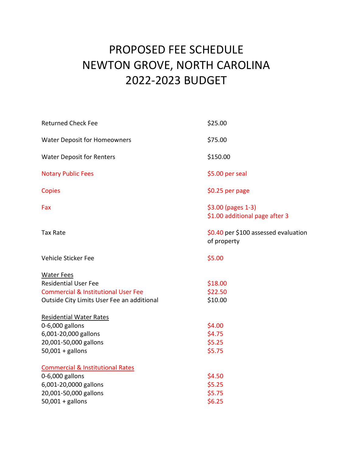## PROPOSED FEE SCHEDULE NEWTON GROVE, NORTH CAROLINA 2022-2023 BUDGET

| <b>Returned Check Fee</b>                      | \$25.00                                              |
|------------------------------------------------|------------------------------------------------------|
| <b>Water Deposit for Homeowners</b>            | \$75.00                                              |
| <b>Water Deposit for Renters</b>               | \$150.00                                             |
| <b>Notary Public Fees</b>                      | \$5.00 per seal                                      |
| Copies                                         | \$0.25 per page                                      |
| Fax                                            | \$3.00 (pages 1-3)<br>\$1.00 additional page after 3 |
| <b>Tax Rate</b>                                | \$0.40 per \$100 assessed evaluation<br>of property  |
| Vehicle Sticker Fee                            | \$5.00                                               |
| <b>Water Fees</b>                              |                                                      |
| <b>Residential User Fee</b>                    | \$18.00                                              |
| <b>Commercial &amp; Institutional User Fee</b> | \$22.50                                              |
| Outside City Limits User Fee an additional     | \$10.00                                              |
| <b>Residential Water Rates</b>                 |                                                      |
| 0-6,000 gallons                                | \$4.00                                               |
| 6,001-20,000 gallons                           | \$4.75                                               |
| 20,001-50,000 gallons                          | \$5.25                                               |
| $50,001 +$ gallons                             | \$5.75                                               |
| <b>Commercial &amp; Institutional Rates</b>    |                                                      |
| 0-6,000 gallons                                | \$4.50                                               |
| 6,001-20,0000 gallons                          | \$5.25                                               |
| 20,001-50,000 gallons                          | \$5.75                                               |
| $50,001 +$ gallons                             | \$6.25                                               |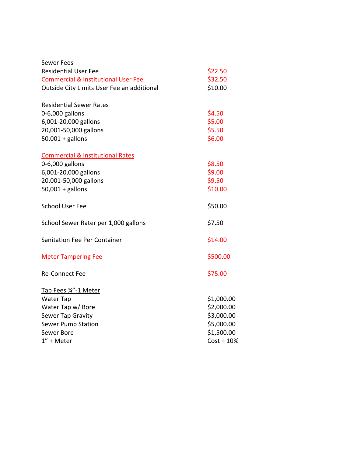| Sewer Fees                                     |              |
|------------------------------------------------|--------------|
| <b>Residential User Fee</b>                    | \$22.50      |
| <b>Commercial &amp; Institutional User Fee</b> | \$32.50      |
| Outside City Limits User Fee an additional     | \$10.00      |
| <b>Residential Sewer Rates</b>                 |              |
| 0-6,000 gallons                                | \$4.50       |
| 6,001-20,000 gallons                           | \$5.00       |
| 20,001-50,000 gallons                          | \$5.50       |
| $50,001 +$ gallons                             | \$6.00       |
| <b>Commercial &amp; Institutional Rates</b>    |              |
| 0-6,000 gallons                                | \$8.50       |
| 6,001-20,000 gallons                           | \$9.00       |
| 20,001-50,000 gallons                          | \$9.50       |
| $50,001 +$ gallons                             | \$10.00      |
| <b>School User Fee</b>                         | \$50.00      |
| School Sewer Rater per 1,000 gallons           | \$7.50       |
| <b>Sanitation Fee Per Container</b>            | \$14.00      |
| <b>Meter Tampering Fee</b>                     | \$500.00     |
| <b>Re-Connect Fee</b>                          | \$75.00      |
| Tap Fees 34"-1 Meter                           |              |
| <b>Water Tap</b>                               | \$1,000.00   |
| Water Tap w/Bore                               | \$2,000.00   |
| Sewer Tap Gravity                              | \$3,000.00   |
| <b>Sewer Pump Station</b>                      | \$5,000.00   |
| Sewer Bore                                     | \$1,500.00   |
| $1" +$ Meter                                   | $Cost + 10%$ |